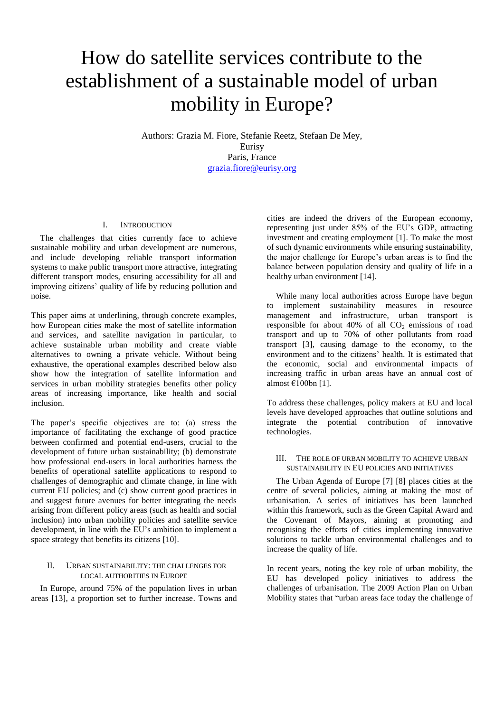# How do satellite services contribute to the establishment of a sustainable model of urban mobility in Europe?

Authors: Grazia M. Fiore, Stefanie Reetz, Stefaan De Mey, Eurisy Paris, France [grazia.fiore@eurisy.org](mailto:grazia.fiore@eurisy.org)

#### I. INTRODUCTION

The challenges that cities currently face to achieve sustainable mobility and urban development are numerous, and include developing reliable transport information systems to make public transport more attractive, integrating different transport modes, ensuring accessibility for all and improving citizens' quality of life by reducing pollution and noise.

This paper aims at underlining, through concrete examples, how European cities make the most of satellite information and services, and satellite navigation in particular, to achieve sustainable urban mobility and create viable alternatives to owning a private vehicle. Without being exhaustive, the operational examples described below also show how the integration of satellite information and services in urban mobility strategies benefits other policy areas of increasing importance, like health and social inclusion.

The paper's specific objectives are to: (a) stress the importance of facilitating the exchange of good practice between confirmed and potential end-users, crucial to the development of future urban sustainability; (b) demonstrate how professional end-users in local authorities harness the benefits of operational satellite applications to respond to challenges of demographic and climate change, in line with current EU policies; and (c) show current good practices in and suggest future avenues for better integrating the needs arising from different policy areas (such as health and social inclusion) into urban mobility policies and satellite service development, in line with the EU's ambition to implement a space strategy that benefits its citizens [10].

#### II. URBAN SUSTAINABILITY: THE CHALLENGES FOR LOCAL AUTHORITIES IN EUROPE

In Europe, around 75% of the population lives in urban areas [13], a proportion set to further increase. Towns and

cities are indeed the drivers of the European economy, representing just under 85% of the EU's GDP, attracting investment and creating employment [1]. To make the most of such dynamic environments while ensuring sustainability, the major challenge for Europe's urban areas is to find the balance between population density and quality of life in a healthy urban environment [14].

While many local authorities across Europe have begun to implement sustainability measures in resource management and infrastructure, urban transport is responsible for about  $40\%$  of all  $CO<sub>2</sub>$  emissions of road transport and up to 70% of other pollutants from road transport [3], causing damage to the economy, to the environment and to the citizens' health. It is estimated that the economic, social and environmental impacts of increasing traffic in urban areas have an annual cost of almost  $\epsilon$ 100bn [1].

To address these challenges, policy makers at EU and local levels have developed approaches that outline solutions and integrate the potential contribution of innovative technologies.

#### III. THE ROLE OF URBAN MOBILITY TO ACHIEVE URBAN SUSTAINABILITY IN EU POLICIES AND INITIATIVES

The Urban Agenda of Europe [7] [8] places cities at the centre of several policies, aiming at making the most of urbanisation. A series of initiatives has been launched within this framework, such as the Green Capital Award and the Covenant of Mayors, aiming at promoting and recognising the efforts of cities implementing innovative solutions to tackle urban environmental challenges and to increase the quality of life.

In recent years, noting the key role of urban mobility, the EU has developed policy initiatives to address the challenges of urbanisation. The 2009 Action Plan on Urban Mobility states that "urban areas face today the challenge of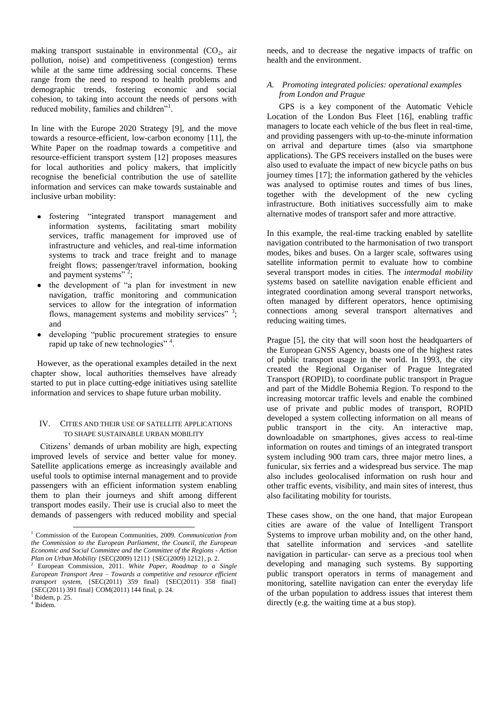making transport sustainable in environmental  $(CO<sub>2</sub>)$ , air pollution, noise) and competitiveness (congestion) terms while at the same time addressing social concerns. These range from the need to respond to health problems and demographic trends, fostering economic and social cohesion, to taking into account the needs of persons with reduced mobility, families and children"<sup>1</sup>.

In line with the Europe 2020 Strategy [9], and the move towards a resource-efficient, low-carbon economy [11], the White Paper on the roadmap towards a competitive and resource-efficient transport system [12] proposes measures for local authorities and policy makers, that implicitly recognise the beneficial contribution the use of satellite information and services can make towards sustainable and inclusive urban mobility:

- fostering "integrated transport management and  $\bullet$ information systems, facilitating smart mobility services, traffic management for improved use of infrastructure and vehicles, and real-time information systems to track and trace freight and to manage freight flows; passenger/travel information, booking and payment systems"<sup>2</sup>;
- the development of "a plan for investment in new  $\bullet$ navigation, traffic monitoring and communication services to allow for the integration of information flows, management systems and mobility services" <sup>3</sup>; and
- $\bullet$ developing "public procurement strategies to ensure rapid up take of new technologies"<sup>4</sup>.

However, as the operational examples detailed in the next chapter show, local authorities themselves have already started to put in place cutting-edge initiatives using satellite information and services to shape future urban mobility.

#### IV. CITIES AND THEIR USE OF SATELLITE APPLICATIONS TO SHAPE SUSTAINABLE URBAN MOBILITY

Citizens' demands of urban mobility are high, expecting improved levels of service and better value for money. Satellite applications emerge as increasingly available and useful tools to optimise internal management and to provide passengers with an efficient information system enabling them to plan their journeys and shift among different transport modes easily. Their use is crucial also to meet the demands of passengers with reduced mobility and special

-

needs, and to decrease the negative impacts of traffic on health and the environment.

#### *A. Promoting integrated policies: operational examples from London and Prague*

GPS is a key component of the Automatic Vehicle Location of the London Bus Fleet [16], enabling traffic managers to locate each vehicle of the bus fleet in real-time, and providing passengers with up-to-the-minute information on arrival and departure times (also via smartphone applications). The GPS receivers installed on the buses were also used to evaluate the impact of new bicycle paths on bus journey times [17]; the information gathered by the vehicles was analysed to optimise routes and times of bus lines, together with the development of the new cycling infrastructure. Both initiatives successfully aim to make alternative modes of transport safer and more attractive.

In this example, the real-time tracking enabled by satellite navigation contributed to the harmonisation of two transport modes, bikes and buses. On a larger scale, softwares using satellite information permit to evaluate how to combine several transport modes in cities. The *intermodal mobility systems* based on satellite navigation enable efficient and integrated coordination among several transport networks, often managed by different operators, hence optimising connections among several transport alternatives and reducing waiting times.

Prague [5], the city that will soon host the headquarters of the European GNSS Agency, boasts one of the highest rates of public transport usage in the world. In 1993, the city created the Regional Organiser of Prague Integrated Transport (ROPID), to coordinate public transport in Prague and part of the Middle Bohemia Region. To respond to the increasing motorcar traffic levels and enable the combined use of private and public modes of transport, ROPID developed a system collecting information on all means of public transport in the city. An interactive map, downloadable on smartphones, gives access to real-time information on routes and timings of an integrated transport system including 900 tram cars, three major metro lines, a funicular, six ferries and a widespread bus service. The map also includes geolocalised information on rush hour and other traffic events, visibility, and main sites of interest, thus also facilitating mobility for tourists.

These cases show, on the one hand, that major European cities are aware of the value of Intelligent Transport Systems to improve urban mobility and, on the other hand, that satellite information and services -and satellite navigation in particular- can serve as a precious tool when developing and managing such systems. By supporting public transport operators in terms of management and monitoring, satellite navigation can enter the everyday life of the urban population to address issues that interest them directly (e.g. the waiting time at a bus stop).

<sup>1</sup> Commission of the European Communities, 2009. *Communication from the Commission to the European Parliament, the Council, the European Economic and Social Committee and the Committee of the Regions - Action Plan on Urban Mobility* {SEC(2009) 1211} {SEC(2009) 1212}, p. 2.

<sup>2</sup> European Commission, 2011. *White Paper, Roadmap to a Single European Transport Area – Towards a competitive and resource efficient transport system*, {SEC(2011) 359 final} {SEC(2011) 358 final} {SEC(2011) 391 final} COM(2011) 144 final, p. 24.

<sup>3</sup> Ibidem, p. 25. 4 Ibidem.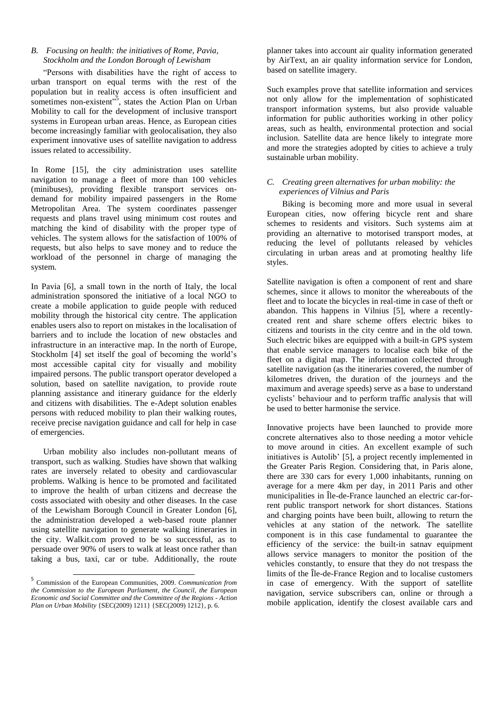## *B. Focusing on health: the initiatives of Rome, Pavia, Stockholm and the London Borough of Lewisham*

"Persons with disabilities have the right of access to urban transport on equal terms with the rest of the population but in reality access is often insufficient and sometimes non-existent"<sup>5</sup>, states the Action Plan on Urban Mobility to call for the development of inclusive transport systems in European urban areas. Hence, as European cities become increasingly familiar with geolocalisation, they also experiment innovative uses of satellite navigation to address issues related to accessibility.

In Rome [15], the city administration uses satellite navigation to manage a fleet of more than 100 vehicles (minibuses), providing flexible transport services ondemand for mobility impaired passengers in the Rome Metropolitan Area. The system coordinates passenger requests and plans travel using minimum cost routes and matching the kind of disability with the proper type of vehicles. The system allows for the satisfaction of 100% of requests, but also helps to save money and to reduce the workload of the personnel in charge of managing the system.

In Pavia [6], a small town in the north of Italy, the local administration sponsored the initiative of a local NGO to create a mobile application to guide people with reduced mobility through the historical city centre. The application enables users also to report on mistakes in the localisation of barriers and to include the location of new obstacles and infrastructure in an interactive map. In the north of Europe, Stockholm [4] set itself the goal of becoming the world's most accessible capital city for visually and mobility impaired persons. The public transport operator developed a solution, based on satellite navigation, to provide route planning assistance and itinerary guidance for the elderly and citizens with disabilities. The e-Adept solution enables persons with reduced mobility to plan their walking routes, receive precise navigation guidance and call for help in case of emergencies.

Urban mobility also includes non-pollutant means of transport, such as walking. Studies have shown that walking rates are inversely related to obesity and cardiovascular problems. Walking is hence to be promoted and facilitated to improve the health of urban citizens and decrease the costs associated with obesity and other diseases. In the case of the Lewisham Borough Council in Greater London [6], the administration developed a web-based route planner using satellite navigation to generate walking itineraries in the city. Walkit.com proved to be so successful, as to persuade over 90% of users to walk at least once rather than taking a bus, taxi, car or tube. Additionally, the route

planner takes into account air quality information generated by AirText, an air quality information service for London, based on satellite imagery.

Such examples prove that satellite information and services not only allow for the implementation of sophisticated transport information systems, but also provide valuable information for public authorities working in other policy areas, such as health, environmental protection and social inclusion. Satellite data are hence likely to integrate more and more the strategies adopted by cities to achieve a truly sustainable urban mobility.

### *C. Creating green alternatives for urban mobility: the experiences of Vilnius and Paris*

Biking is becoming more and more usual in several European cities, now offering bicycle rent and share schemes to residents and visitors. Such systems aim at providing an alternative to motorised transport modes, at reducing the level of pollutants released by vehicles circulating in urban areas and at promoting healthy life styles.

Satellite navigation is often a component of rent and share schemes, since it allows to monitor the whereabouts of the fleet and to locate the bicycles in real-time in case of theft or abandon. This happens in Vilnius [5], where a recentlycreated rent and share scheme offers electric bikes to citizens and tourists in the city centre and in the old town. Such electric bikes are equipped with a built-in GPS system that enable service managers to localise each bike of the fleet on a digital map. The information collected through satellite navigation (as the itineraries covered, the number of kilometres driven, the duration of the journeys and the maximum and average speeds) serve as a base to understand cyclists' behaviour and to perform traffic analysis that will be used to better harmonise the service.

Innovative projects have been launched to provide more concrete alternatives also to those needing a motor vehicle to move around in cities. An excellent example of such initiatives is Autolib' [5], a project recently implemented in the Greater Paris Region. Considering that, in Paris alone, there are 330 cars for every 1,000 inhabitants, running on average for a mere 4km per day, in 2011 Paris and other municipalities in Île-de-France launched an electric car-forrent public transport network for short distances. Stations and charging points have been built, allowing to return the vehicles at any station of the network. The satellite component is in this case fundamental to guarantee the efficiency of the service: the built-in satnav equipment allows service managers to monitor the position of the vehicles constantly, to ensure that they do not trespass the limits of the Île-de-France Region and to localise customers in case of emergency. With the support of satellite navigation, service subscribers can, online or through a mobile application, identify the closest available cars and

 5 Commission of the European Communities, 2009. *Communication from the Commission to the European Parliament, the Council, the European Economic and Social Committee and the Committee of the Regions - Action Plan on Urban Mobility* {SEC(2009) 1211} {SEC(2009) 1212}, p. 6.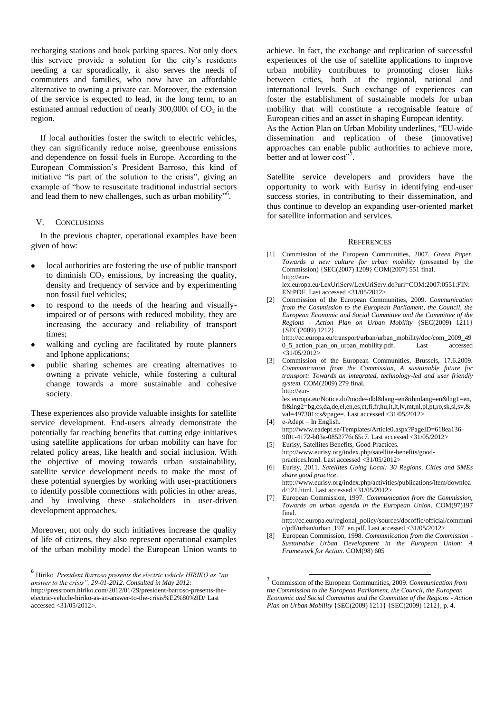recharging stations and book parking spaces. Not only does this service provide a solution for the city's residents needing a car sporadically, it also serves the needs of commuters and families, who now have an affordable alternative to owning a private car. Moreover, the extension of the service is expected to lead, in the long term, to an estimated annual reduction of nearly  $300,000t$  of  $CO<sub>2</sub>$  in the region.

If local authorities foster the switch to electric vehicles, they can significantly reduce noise, greenhouse emissions and dependence on fossil fuels in Europe. According to the European Commission's President Barroso, this kind of initiative "is part of the solution to the crisis", giving an example of "how to resuscitate traditional industrial sectors and lead them to new challenges, such as urban mobility"<sup>6</sup>.

#### V. CONCLUSIONS

In the previous chapter, operational examples have been given of how:

- local authorities are fostering the use of public transport to diminish  $CO<sub>2</sub>$  emissions, by increasing the quality, density and frequency of service and by experimenting non fossil fuel vehicles;
- to respond to the needs of the hearing and visuallyimpaired or of persons with reduced mobility, they are increasing the accuracy and reliability of transport times;
- walking and cycling are facilitated by route planners and Iphone applications;
- public sharing schemes are creating alternatives to owning a private vehicle, while fostering a cultural change towards a more sustainable and cohesive society.

These experiences also provide valuable insights for satellite service development. End-users already demonstrate the potentially far reaching benefits that cutting edge initiatives using satellite applications for urban mobility can have for related policy areas, like health and social inclusion. With the objective of moving towards urban sustainability, satellite service development needs to make the most of these potential synergies by working with user-practitioners to identify possible connections with policies in other areas, and by involving these stakeholders in user-driven development approaches.

Moreover, not only do such initiatives increase the quality of life of citizens, they also represent operational examples of the urban mobility model the European Union wants to

achieve. In fact, the exchange and replication of successful experiences of the use of satellite applications to improve urban mobility contributes to promoting closer links between cities, both at the regional, national and international levels. Such exchange of experiences can foster the establishment of sustainable models for urban mobility that will constitute a recognisable feature of European cities and an asset in shaping European identity.

As the Action Plan on Urban Mobility underlines, "EU-wide dissemination and replication of these (innovative) approaches can enable public authorities to achieve more, better and at lower  $cost$ <sup>7</sup>.

Satellite service developers and providers have the opportunity to work with Eurisy in identifying end-user success stories, in contributing to their dissemination, and thus continue to develop an expanding user-oriented market for satellite information and services.

#### **REFERENCES**

[1] Commission of the European Communities, 2007. *Green Paper, Towards a new culture for urban mobility* (presented by the Commission) {SEC(2007) 1209} COM(2007) 551 final. [http://eur-](http://eur-lex.europa.eu/LexUriServ/LexUriServ.do?uri=COM:2007:0551:FIN:EN:PDF)

[lex.europa.eu/LexUriServ/LexUriServ.do?uri=COM:2007:0551:FIN:](http://eur-lex.europa.eu/LexUriServ/LexUriServ.do?uri=COM:2007:0551:FIN:EN:PDF) [EN:PDF.](http://eur-lex.europa.eu/LexUriServ/LexUriServ.do?uri=COM:2007:0551:FIN:EN:PDF) Last accessed <31/05/2012>

[2] Commission of the European Communities, 2009. *Communication from the Commission to the European Parliament, the Council, the European Economic and Social Committee and the Committee of the Regions - Action Plan on Urban Mobility* {SEC(2009) 1211} {SEC(2009) 1212}. [http://ec.europa.eu/transport/urban/urban\\_mobility/doc/com\\_2009\\_49](http://ec.europa.eu/transport/urban/urban_mobility/doc/com_2009_490_5_action_plan_on_urban_mobility.pdf)

[0\\_5\\_action\\_plan\\_on\\_urban\\_mobility.pdf.](http://ec.europa.eu/transport/urban/urban_mobility/doc/com_2009_490_5_action_plan_on_urban_mobility.pdf) Last accessed  $<$ 31/05/2012> [3] Commission of the European Communities, Brussels, 17.6.2009.

*Communication from the Commission, A sustainable future for transport: Towards an integrated, technology-led and user friendly system*. COM(2009) 279 final. [http://eur-](http://eur-lex.europa.eu/Notice.do?mode=dbl&lang=en&ihmlang=en&lng1=en,fr&lng2=bg,cs,da,de,el,en,es,et,fi,fr,hu,it,lt,lv,mt,nl,pl,pt,ro,sk,sl,sv,&val=497301:cs&page)

[lex.europa.eu/Notice.do?mode=dbl&lang=en&ihmlang=en&lng1=en,](http://eur-lex.europa.eu/Notice.do?mode=dbl&lang=en&ihmlang=en&lng1=en,fr&lng2=bg,cs,da,de,el,en,es,et,fi,fr,hu,it,lt,lv,mt,nl,pl,pt,ro,sk,sl,sv,&val=497301:cs&page) [fr&lng2=bg,cs,da,de,el,en,es,et,fi,fr,hu,it,lt,lv,mt,nl,pl,pt,ro,sk,sl,sv,&](http://eur-lex.europa.eu/Notice.do?mode=dbl&lang=en&ihmlang=en&lng1=en,fr&lng2=bg,cs,da,de,el,en,es,et,fi,fr,hu,it,lt,lv,mt,nl,pl,pt,ro,sk,sl,sv,&val=497301:cs&page) [val=497301:cs&page=](http://eur-lex.europa.eu/Notice.do?mode=dbl&lang=en&ihmlang=en&lng1=en,fr&lng2=bg,cs,da,de,el,en,es,et,fi,fr,hu,it,lt,lv,mt,nl,pl,pt,ro,sk,sl,sv,&val=497301:cs&page). Last accessed <31/05/2012>

- [4] e-Adept In English. [http://www.eadept.se/Templates/Article0.aspx?PageID=618ea136-](http://www.eadept.se/Templates/Article0.aspx?PageID=618ea136-9f01-4172-b03a-0852776c65c7) [9f01-4172-b03a-0852776c65c7.](http://www.eadept.se/Templates/Article0.aspx?PageID=618ea136-9f01-4172-b03a-0852776c65c7) Last accessed <31/05/2012>
- [5] Eurisy, Satellites Benefits, Good Practices. [http://www.eurisy.org/index.php/satellite-benefits/good](http://www.eurisy.org/index.php/satellite-benefits/good-practices.html)[practices.html.](http://www.eurisy.org/index.php/satellite-benefits/good-practices.html) Last accessed <31/05/2012>
- [6] Eurisy, 2011. *Satellites Going Local: 30 Regions, Cities and SMEs share good practice*. [http://www.eurisy.org/index.php/activities/publications/item/downloa](http://www.eurisy.org/index.php/activities/publications/item/download/121.html) [d/121.html.](http://www.eurisy.org/index.php/activities/publications/item/download/121.html) Last accessed <31/05/2012>
- European Commission, 1997. *Communication from the Commission, Towards an urban agenda in the European Union*. COM(97)197 final.

[http://ec.europa.eu/regional\\_policy/sources/docoffic/official/communi](http://ec.europa.eu/regional_policy/sources/docoffic/official/communic/pdf/urban/urban_197_en.pdf) [c/pdf/urban/urban\\_197\\_en.pdf.](http://ec.europa.eu/regional_policy/sources/docoffic/official/communic/pdf/urban/urban_197_en.pdf) Last accessed <31/05/2012>

 6 Hiriko*, President Barroso presents the electric vehicle HIRIKO as "an answer to the crisis", 29-01-2012. Consulted in May 2012:* 

[http://pressroom.hiriko.com/2012/01/29/president-barroso-presents-the](http://pressroom.hiriko.com/2012/01/29/president-barroso-presents-the-electric-vehicle-hiriko-as-an-answer-to-the-crisis%E2%80%9D/)[electric-vehicle-hiriko-as-an-answer-to-the-crisis%E2%80%9D/](http://pressroom.hiriko.com/2012/01/29/president-barroso-presents-the-electric-vehicle-hiriko-as-an-answer-to-the-crisis%E2%80%9D/) Last accessed <31/05/2012>.

<sup>[8]</sup> European Commission, 1998. *Communication from the Commission - Sustainable Urban Development in the European Union: A Framework for Action*. COM(98) 605

 7 Commission of the European Communities, 2009. *Communication from the Commission to the European Parliament, the Council, the European Economic and Social Committee and the Committee of the Regions - Action Plan on Urban Mobility* {SEC(2009) 1211} {SEC(2009) 1212}, p. 4.